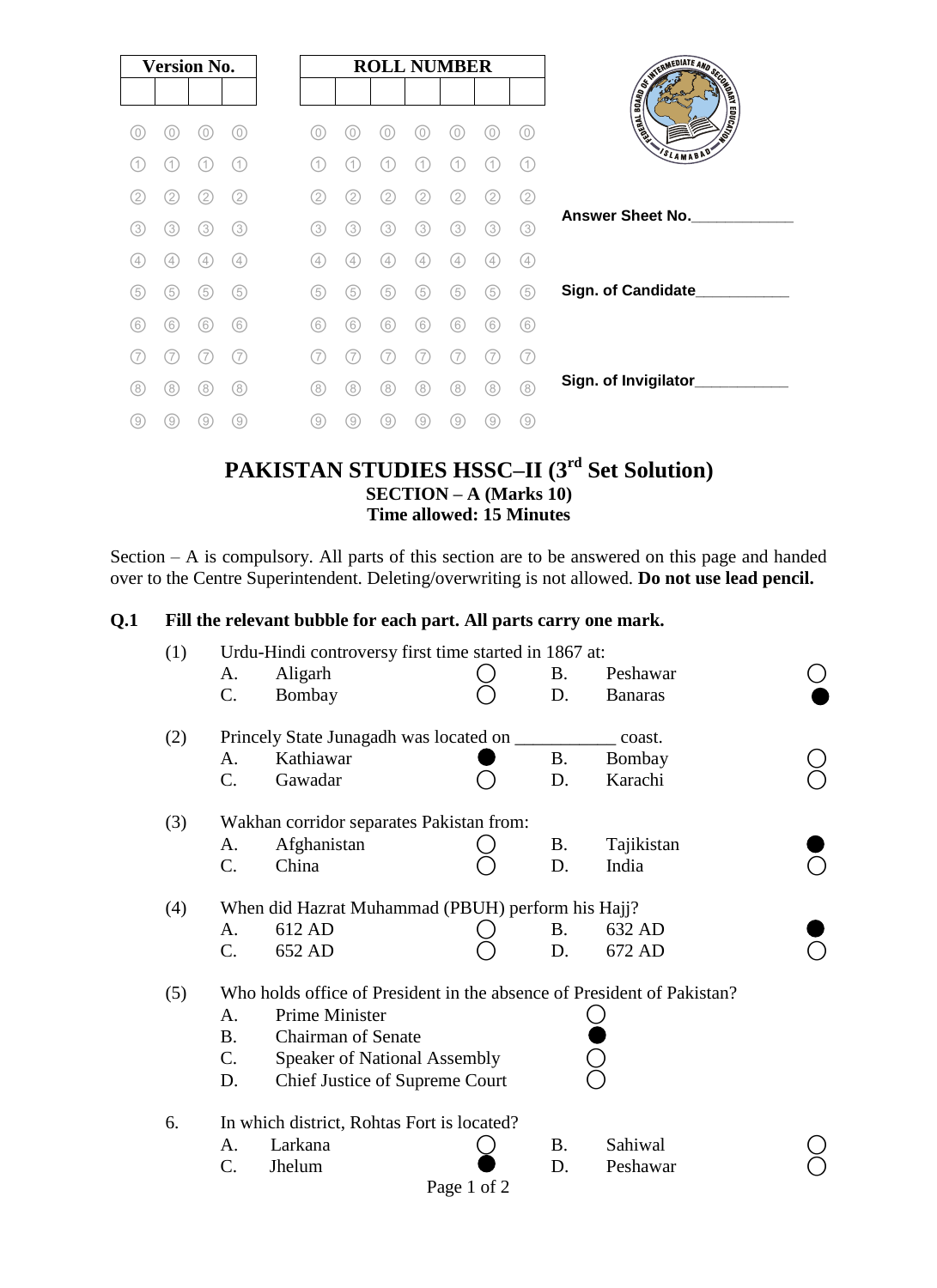| <b>Version No.</b> |                |     |     |
|--------------------|----------------|-----|-----|
| 0                  | 0)             | C)  | 0)  |
| 1.                 | 11             |     | (1) |
| 2.                 | $\overline{2}$ | 2   | 2   |
| (3)                | (3)            | 3   | (3) |
| (4,                | 4              | 4   | (4) |
| (5)                | (5)            | 5   | (5) |
| (6)                | (6)            | (6) | (6) |
|                    |                |     | 7   |
| (8)                | (8)            | 8   | (8) |
| 9)                 | (9)            | g.  | (9) |

### **PAKISTAN STUDIES HSSC–II (3 rd Set Solution) SECTION – A (Marks 10) Time allowed: 15 Minutes**

Section – A is compulsory. All parts of this section are to be answered on this page and handed over to the Centre Superintendent. Deleting/overwriting is not allowed. **Do not use lead pencil.**

#### **Q.1 Fill the relevant bubble for each part. All parts carry one mark.**

| (1) | Urdu-Hindi controversy first time started in 1867 at:                  |                                |             |           |                |  |  |  |  |  |
|-----|------------------------------------------------------------------------|--------------------------------|-------------|-----------|----------------|--|--|--|--|--|
|     | А.                                                                     | Aligarh                        |             | <b>B.</b> | Peshawar       |  |  |  |  |  |
|     | C.                                                                     | Bombay                         |             | D.        | <b>Banaras</b> |  |  |  |  |  |
| (2) | Princely State Junagadh was located on ______<br>coast.                |                                |             |           |                |  |  |  |  |  |
|     | А.                                                                     | Kathiawar                      |             | <b>B.</b> | Bombay         |  |  |  |  |  |
|     | C.                                                                     | Gawadar                        |             | D.        | Karachi        |  |  |  |  |  |
| (3) | Wakhan corridor separates Pakistan from:                               |                                |             |           |                |  |  |  |  |  |
|     | A.                                                                     | Afghanistan                    |             | <b>B.</b> | Tajikistan     |  |  |  |  |  |
|     | C.                                                                     | China                          |             | D.        | India          |  |  |  |  |  |
| (4) | When did Hazrat Muhammad (PBUH) perform his Hajj?                      |                                |             |           |                |  |  |  |  |  |
|     | A.                                                                     | 612 AD                         |             | <b>B.</b> | 632 AD         |  |  |  |  |  |
|     | C.                                                                     | 652 AD                         |             | D.        | 672 AD         |  |  |  |  |  |
| (5) | Who holds office of President in the absence of President of Pakistan? |                                |             |           |                |  |  |  |  |  |
|     | А.                                                                     | Prime Minister                 |             |           |                |  |  |  |  |  |
|     | <b>Chairman of Senate</b><br><b>B.</b>                                 |                                |             |           |                |  |  |  |  |  |
|     | C.<br><b>Speaker of National Assembly</b>                              |                                |             |           |                |  |  |  |  |  |
|     | D.                                                                     | Chief Justice of Supreme Court |             |           |                |  |  |  |  |  |
| 6.  | In which district, Rohtas Fort is located?                             |                                |             |           |                |  |  |  |  |  |
|     | А.                                                                     | Larkana                        |             | <b>B.</b> | Sahiwal        |  |  |  |  |  |
|     | C.                                                                     | Jhelum                         |             | D.        | Peshawar       |  |  |  |  |  |
|     |                                                                        |                                | Page 1 of 2 |           |                |  |  |  |  |  |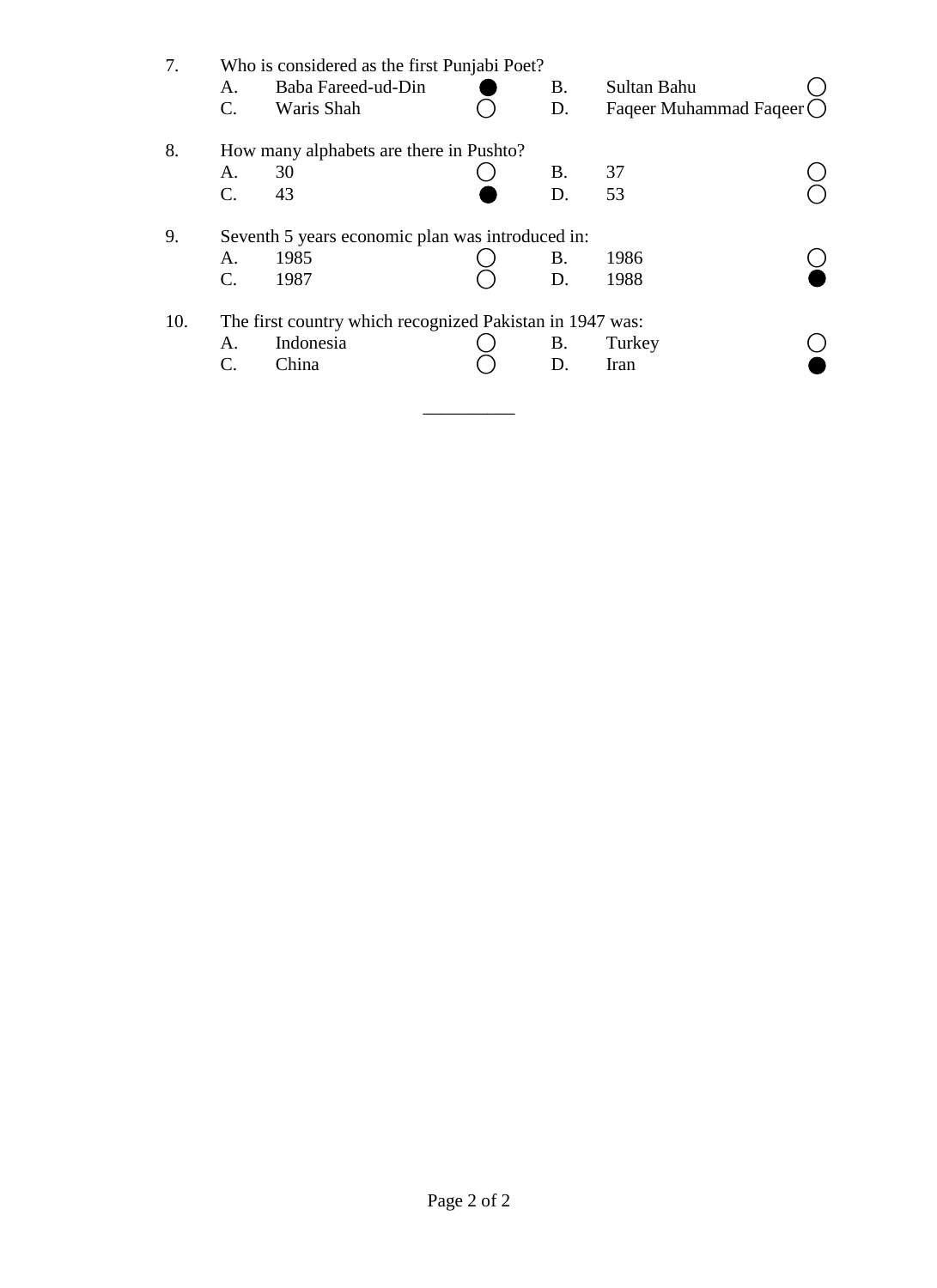| 7.  | Who is considered as the first Punjabi Poet?             |                    |  |    |                           |  |  |  |  |  |
|-----|----------------------------------------------------------|--------------------|--|----|---------------------------|--|--|--|--|--|
|     | A.                                                       | Baba Fareed-ud-Din |  | В. | Sultan Bahu               |  |  |  |  |  |
|     | $\mathbf{C}$ .                                           | Waris Shah         |  | D. | Faqeer Muhammad Faqeer () |  |  |  |  |  |
| 8.  | How many alphabets are there in Pushto?                  |                    |  |    |                           |  |  |  |  |  |
|     | A.                                                       | 30                 |  | B. | 37                        |  |  |  |  |  |
|     | $\mathbf{C}$ .                                           | 43                 |  | D. | 53                        |  |  |  |  |  |
| 9.  | Seventh 5 years economic plan was introduced in:         |                    |  |    |                           |  |  |  |  |  |
|     | A.                                                       | 1985               |  | В. | 1986                      |  |  |  |  |  |
|     | $\mathcal{C}$ .                                          | 1987               |  | D. | 1988                      |  |  |  |  |  |
| 10. | The first country which recognized Pakistan in 1947 was: |                    |  |    |                           |  |  |  |  |  |
|     | A.                                                       | Indonesia          |  | В. | Turkey                    |  |  |  |  |  |
|     | C.                                                       | China              |  | D. | Iran                      |  |  |  |  |  |
|     |                                                          |                    |  |    |                           |  |  |  |  |  |
|     |                                                          |                    |  |    |                           |  |  |  |  |  |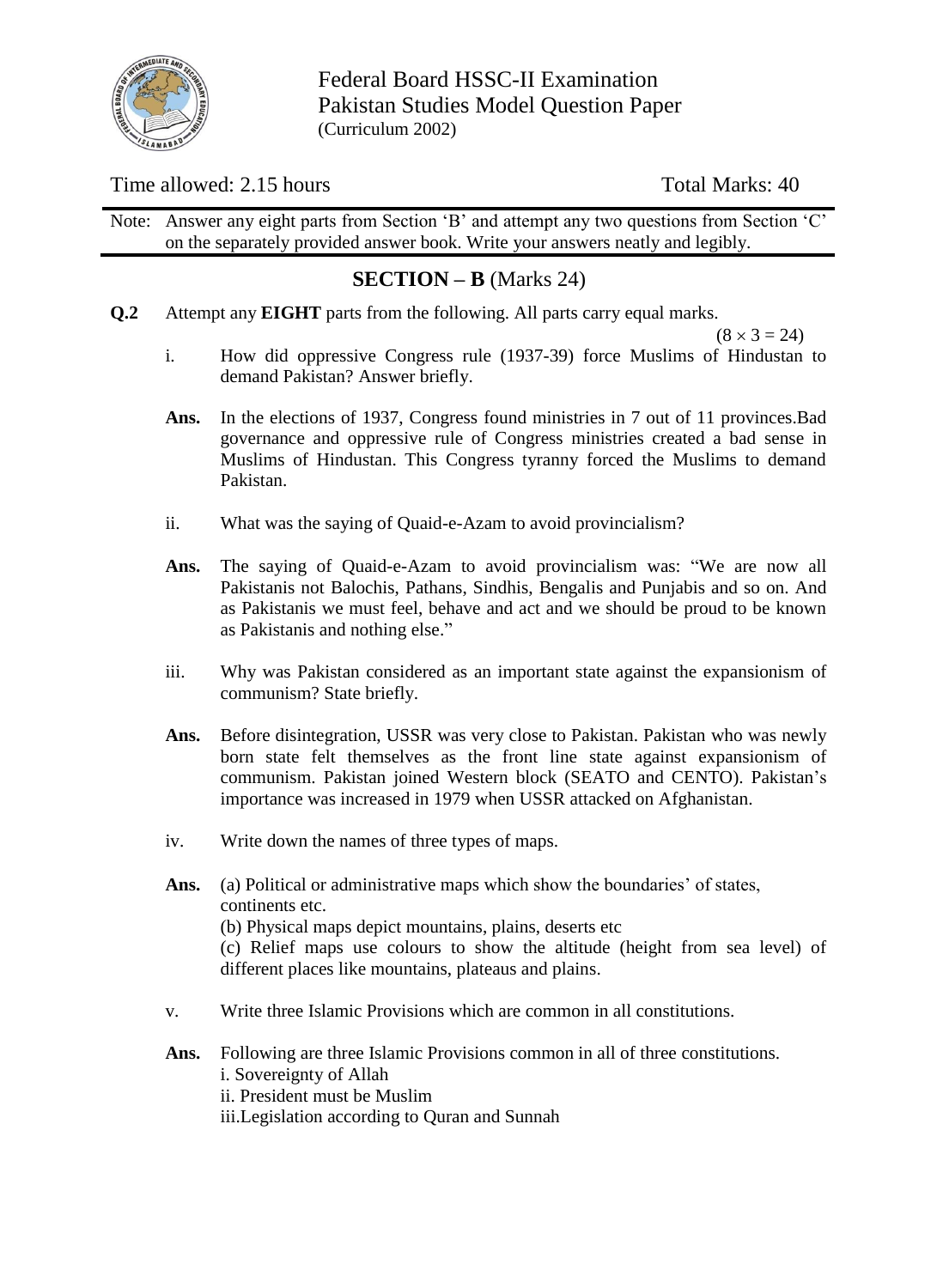

Federal Board HSSC-II Examination Pakistan Studies Model Question Paper (Curriculum 2002)

### Time allowed: 2.15 hours Total Marks: 40

Note: Answer any eight parts from Section "B" and attempt any two questions from Section "C" on the separately provided answer book. Write your answers neatly and legibly.

## **SECTION – B** (Marks 24)

**Q.2** Attempt any **EIGHT** parts from the following. All parts carry equal marks.

 $(8 \times 3 = 24)$ 

- i. How did oppressive Congress rule (1937-39) force Muslims of Hindustan to demand Pakistan? Answer briefly.
- Ans. In the elections of 1937, Congress found ministries in 7 out of 11 provinces. Bad governance and oppressive rule of Congress ministries created a bad sense in Muslims of Hindustan. This Congress tyranny forced the Muslims to demand Pakistan.
- ii. What was the saying of Quaid-e-Azam to avoid provincialism?
- **Ans.** The saying of Quaid-e-Azam to avoid provincialism was: "We are now all Pakistanis not Balochis, Pathans, Sindhis, Bengalis and Punjabis and so on. And as Pakistanis we must feel, behave and act and we should be proud to be known as Pakistanis and nothing else."
- iii. Why was Pakistan considered as an important state against the expansionism of communism? State briefly.
- **Ans.** Before disintegration, USSR was very close to Pakistan. Pakistan who was newly born state felt themselves as the front line state against expansionism of communism. Pakistan joined Western block (SEATO and CENTO). Pakistan"s importance was increased in 1979 when USSR attacked on Afghanistan.
- iv. Write down the names of three types of maps.
- Ans. (a) Political or administrative maps which show the boundaries' of states, continents etc. (b) Physical maps depict mountains, plains, deserts etc (c) Relief maps use colours to show the altitude (height from sea level) of different places like mountains, plateaus and plains.
- v. Write three Islamic Provisions which are common in all constitutions.
- **Ans.** Following are three Islamic Provisions common in all of three constitutions. i. Sovereignty of Allah ii. President must be Muslim iii.Legislation according to Quran and Sunnah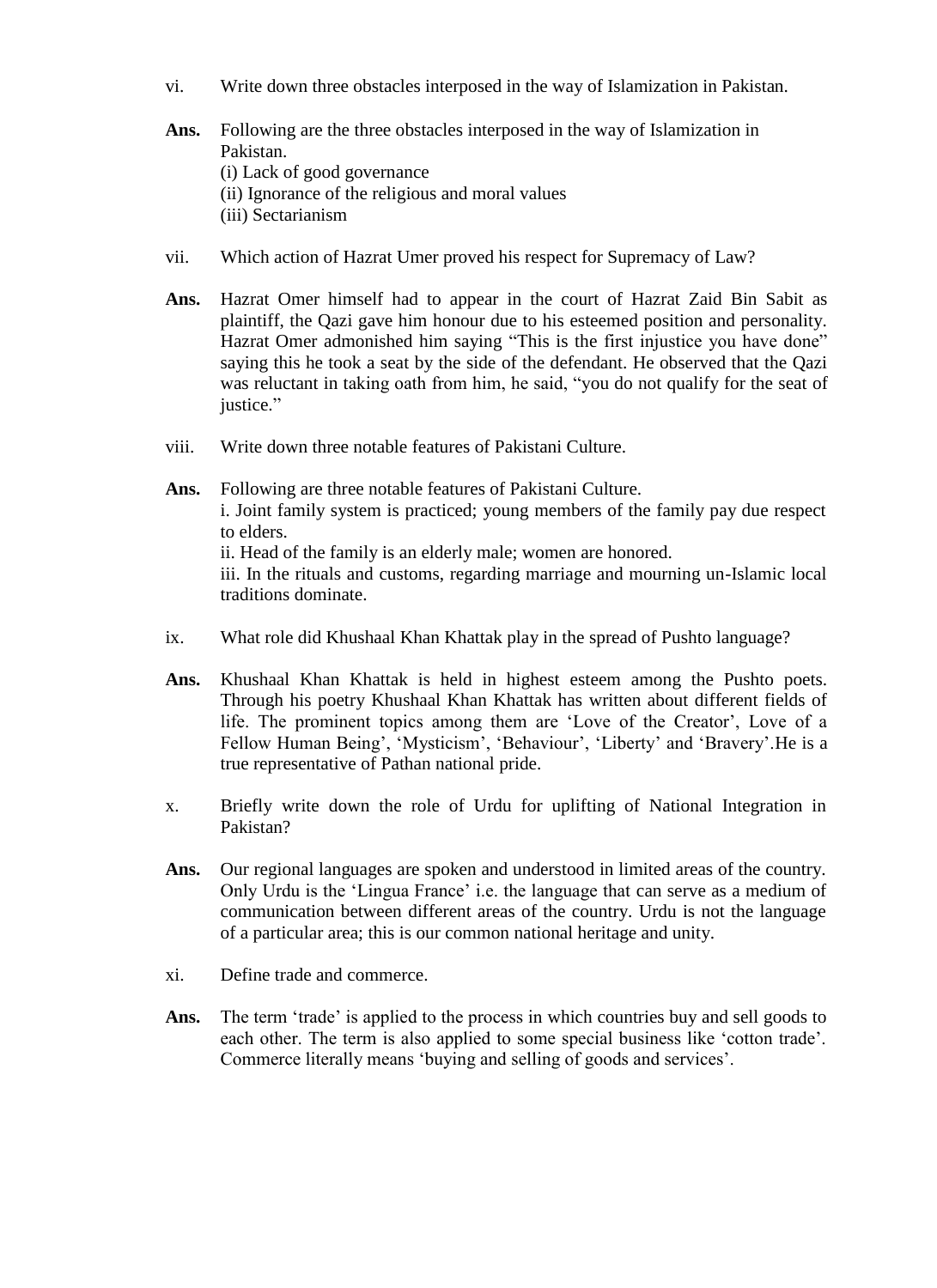- vi. Write down three obstacles interposed in the way of Islamization in Pakistan.
- **Ans.** Following are the three obstacles interposed in the way of Islamization in Pakistan. (i) Lack of good governance (ii) Ignorance of the religious and moral values (iii) Sectarianism
- vii. Which action of Hazrat Umer proved his respect for Supremacy of Law?
- **Ans.** Hazrat Omer himself had to appear in the court of Hazrat Zaid Bin Sabit as plaintiff, the Qazi gave him honour due to his esteemed position and personality. Hazrat Omer admonished him saying "This is the first injustice you have done" saying this he took a seat by the side of the defendant. He observed that the Qazi was reluctant in taking oath from him, he said, "you do not qualify for the seat of justice."
- viii. Write down three notable features of Pakistani Culture.
- **Ans.** Following are three notable features of Pakistani Culture. i. Joint family system is practiced; young members of the family pay due respect to elders. ii. Head of the family is an elderly male; women are honored. iii. In the rituals and customs, regarding marriage and mourning un-Islamic local traditions dominate.
- ix. What role did Khushaal Khan Khattak play in the spread of Pushto language?
- **Ans.** Khushaal Khan Khattak is held in highest esteem among the Pushto poets. Through his poetry Khushaal Khan Khattak has written about different fields of life. The prominent topics among them are 'Love of the Creator', Love of a Fellow Human Being', 'Mysticism', 'Behaviour', 'Liberty' and 'Bravery'. He is a true representative of Pathan national pride.
- x. Briefly write down the role of Urdu for uplifting of National Integration in Pakistan?
- Ans. Our regional languages are spoken and understood in limited areas of the country. Only Urdu is the "Lingua France" i.e. the language that can serve as a medium of communication between different areas of the country. Urdu is not the language of a particular area; this is our common national heritage and unity.
- xi. Define trade and commerce.
- Ans. The term 'trade' is applied to the process in which countries buy and sell goods to each other. The term is also applied to some special business like "cotton trade". Commerce literally means 'buying and selling of goods and services'.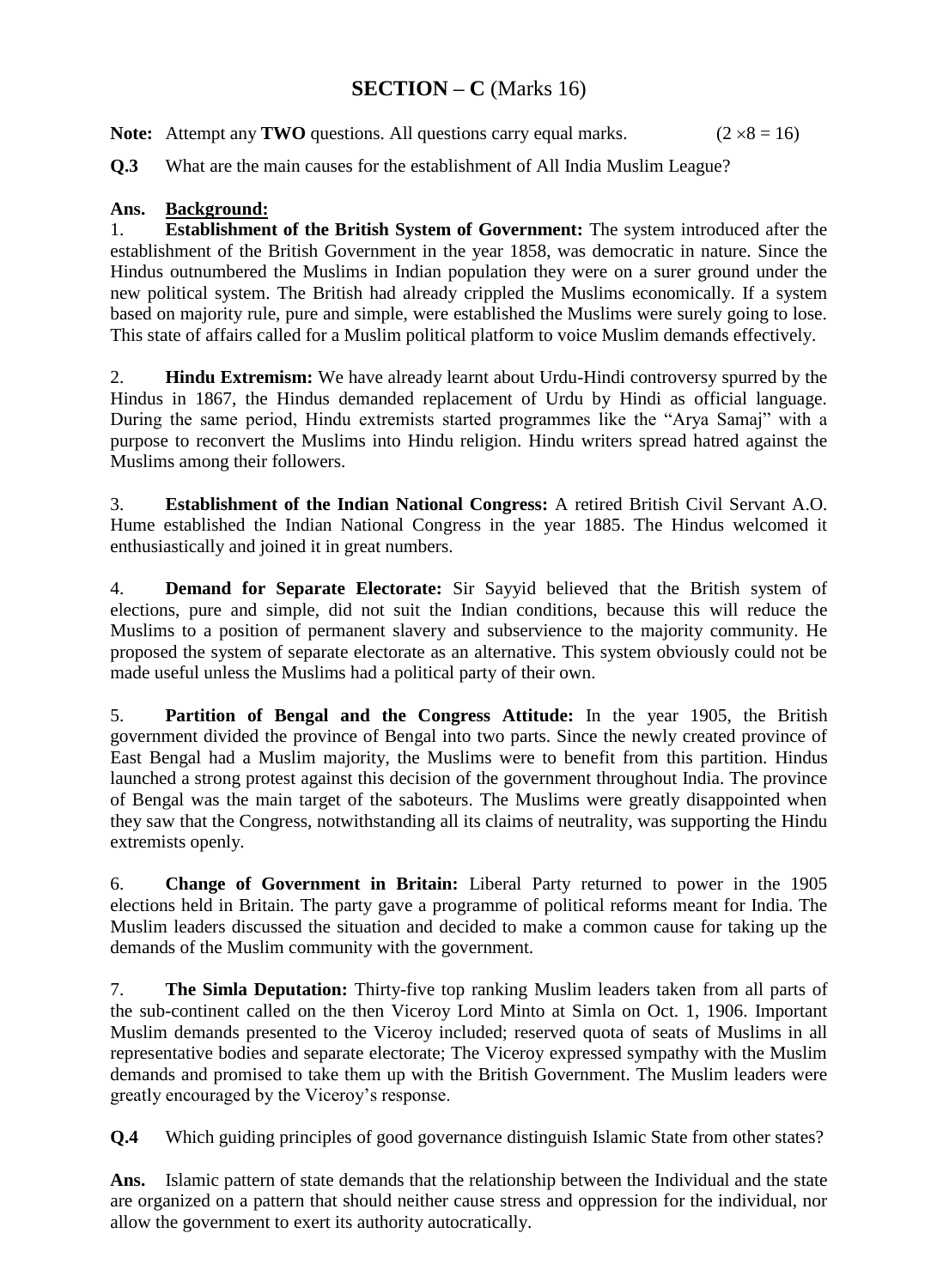# **SECTION – C** (Marks 16)

**Note:** Attempt any **TWO** questions. All questions carry equal marks. ( $2 \times 8 = 16$ )

**Q.3** What are the main causes for the establishment of All India Muslim League?

#### **Ans. Background:**

1. **Establishment of the British System of Government:** The system introduced after the establishment of the British Government in the year 1858, was democratic in nature. Since the Hindus outnumbered the Muslims in Indian population they were on a surer ground under the new political system. The British had already crippled the Muslims economically. If a system based on majority rule, pure and simple, were established the Muslims were surely going to lose. This state of affairs called for a Muslim political platform to voice Muslim demands effectively.

2. **Hindu Extremism:** We have already learnt about Urdu-Hindi controversy spurred by the Hindus in 1867, the Hindus demanded replacement of Urdu by Hindi as official language. During the same period, Hindu extremists started programmes like the "Arya Samaj" with a purpose to reconvert the Muslims into Hindu religion. Hindu writers spread hatred against the Muslims among their followers.

3. **Establishment of the Indian National Congress:** A retired British Civil Servant A.O. Hume established the Indian National Congress in the year 1885. The Hindus welcomed it enthusiastically and joined it in great numbers.

4. **Demand for Separate Electorate:** Sir Sayyid believed that the British system of elections, pure and simple, did not suit the Indian conditions, because this will reduce the Muslims to a position of permanent slavery and subservience to the majority community. He proposed the system of separate electorate as an alternative. This system obviously could not be made useful unless the Muslims had a political party of their own.

5. **Partition of Bengal and the Congress Attitude:** In the year 1905, the British government divided the province of Bengal into two parts. Since the newly created province of East Bengal had a Muslim majority, the Muslims were to benefit from this partition. Hindus launched a strong protest against this decision of the government throughout India. The province of Bengal was the main target of the saboteurs. The Muslims were greatly disappointed when they saw that the Congress, notwithstanding all its claims of neutrality, was supporting the Hindu extremists openly.

6. **Change of Government in Britain:** Liberal Party returned to power in the 1905 elections held in Britain. The party gave a programme of political reforms meant for India. The Muslim leaders discussed the situation and decided to make a common cause for taking up the demands of the Muslim community with the government.

7. **The Simla Deputation:** Thirty-five top ranking Muslim leaders taken from all parts of the sub-continent called on the then Viceroy Lord Minto at Simla on Oct. 1, 1906. Important Muslim demands presented to the Viceroy included; reserved quota of seats of Muslims in all representative bodies and separate electorate; The Viceroy expressed sympathy with the Muslim demands and promised to take them up with the British Government. The Muslim leaders were greatly encouraged by the Viceroy"s response.

**Q.4** Which guiding principles of good governance distinguish Islamic State from other states?

**Ans.** Islamic pattern of state demands that the relationship between the Individual and the state are organized on a pattern that should neither cause stress and oppression for the individual, nor allow the government to exert its authority autocratically.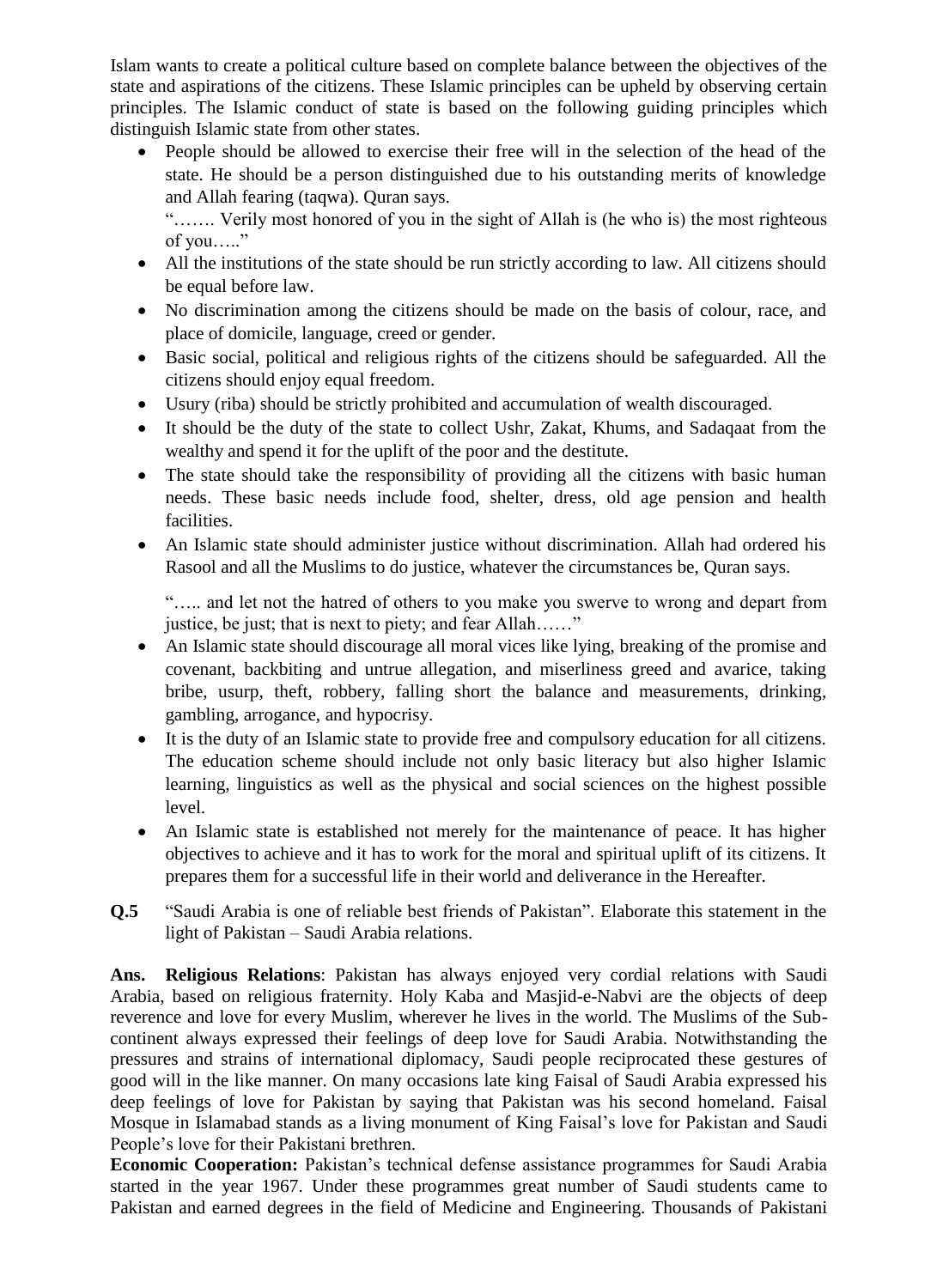Islam wants to create a political culture based on complete balance between the objectives of the state and aspirations of the citizens. These Islamic principles can be upheld by observing certain principles. The Islamic conduct of state is based on the following guiding principles which distinguish Islamic state from other states.

 People should be allowed to exercise their free will in the selection of the head of the state. He should be a person distinguished due to his outstanding merits of knowledge and Allah fearing (taqwa). Quran says.

"……. Verily most honored of you in the sight of Allah is (he who is) the most righteous of you….."

- All the institutions of the state should be run strictly according to law. All citizens should be equal before law.
- No discrimination among the citizens should be made on the basis of colour, race, and place of domicile, language, creed or gender.
- Basic social, political and religious rights of the citizens should be safeguarded. All the citizens should enjoy equal freedom.
- Usury (riba) should be strictly prohibited and accumulation of wealth discouraged.
- It should be the duty of the state to collect Ushr, Zakat, Khums, and Sadaqaat from the wealthy and spend it for the uplift of the poor and the destitute.
- The state should take the responsibility of providing all the citizens with basic human needs. These basic needs include food, shelter, dress, old age pension and health facilities.
- An Islamic state should administer justice without discrimination. Allah had ordered his Rasool and all the Muslims to do justice, whatever the circumstances be, Quran says.

"….. and let not the hatred of others to you make you swerve to wrong and depart from justice, be just; that is next to piety; and fear Allah……"

- An Islamic state should discourage all moral vices like lying, breaking of the promise and covenant, backbiting and untrue allegation, and miserliness greed and avarice, taking bribe, usurp, theft, robbery, falling short the balance and measurements, drinking, gambling, arrogance, and hypocrisy.
- It is the duty of an Islamic state to provide free and compulsory education for all citizens. The education scheme should include not only basic literacy but also higher Islamic learning, linguistics as well as the physical and social sciences on the highest possible level.
- An Islamic state is established not merely for the maintenance of peace. It has higher objectives to achieve and it has to work for the moral and spiritual uplift of its citizens. It prepares them for a successful life in their world and deliverance in the Hereafter.
- **Q.5** "Saudi Arabia is one of reliable best friends of Pakistan". Elaborate this statement in the light of Pakistan – Saudi Arabia relations.

**Ans. Religious Relations**: Pakistan has always enjoyed very cordial relations with Saudi Arabia, based on religious fraternity. Holy Kaba and Masjid-e-Nabvi are the objects of deep reverence and love for every Muslim, wherever he lives in the world. The Muslims of the Subcontinent always expressed their feelings of deep love for Saudi Arabia. Notwithstanding the pressures and strains of international diplomacy, Saudi people reciprocated these gestures of good will in the like manner. On many occasions late king Faisal of Saudi Arabia expressed his deep feelings of love for Pakistan by saying that Pakistan was his second homeland. Faisal Mosque in Islamabad stands as a living monument of King Faisal"s love for Pakistan and Saudi People"s love for their Pakistani brethren.

**Economic Cooperation:** Pakistan's technical defense assistance programmes for Saudi Arabia started in the year 1967. Under these programmes great number of Saudi students came to Pakistan and earned degrees in the field of Medicine and Engineering. Thousands of Pakistani